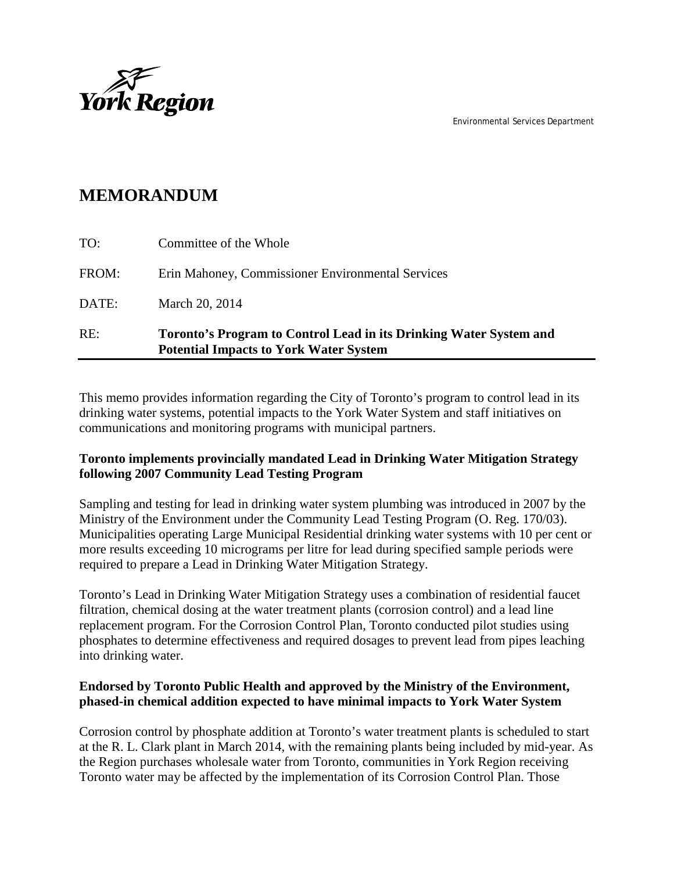Environmental Services Department



## **MEMORANDUM**

| RE:   | Toronto's Program to Control Lead in its Drinking Water System and<br><b>Potential Impacts to York Water System</b> |
|-------|---------------------------------------------------------------------------------------------------------------------|
| DATE: | March 20, 2014                                                                                                      |
| FROM: | Erin Mahoney, Commissioner Environmental Services                                                                   |
| TO:   | Committee of the Whole                                                                                              |

This memo provides information regarding the City of Toronto's program to control lead in its drinking water systems, potential impacts to the York Water System and staff initiatives on communications and monitoring programs with municipal partners.

### **Toronto implements provincially mandated Lead in Drinking Water Mitigation Strategy following 2007 Community Lead Testing Program**

Sampling and testing for lead in drinking water system plumbing was introduced in 2007 by the Ministry of the Environment under the Community Lead Testing Program (O. Reg. 170/03). Municipalities operating Large Municipal Residential drinking water systems with 10 per cent or more results exceeding 10 micrograms per litre for lead during specified sample periods were required to prepare a Lead in Drinking Water Mitigation Strategy.

Toronto's Lead in Drinking Water Mitigation Strategy uses a combination of residential faucet filtration, chemical dosing at the water treatment plants (corrosion control) and a lead line replacement program. For the Corrosion Control Plan, Toronto conducted pilot studies using phosphates to determine effectiveness and required dosages to prevent lead from pipes leaching into drinking water.

### **Endorsed by Toronto Public Health and approved by the Ministry of the Environment, phased-in chemical addition expected to have minimal impacts to York Water System**

Corrosion control by phosphate addition at Toronto's water treatment plants is scheduled to start at the R. L. Clark plant in March 2014, with the remaining plants being included by mid-year. As the Region purchases wholesale water from Toronto, communities in York Region receiving Toronto water may be affected by the implementation of its Corrosion Control Plan. Those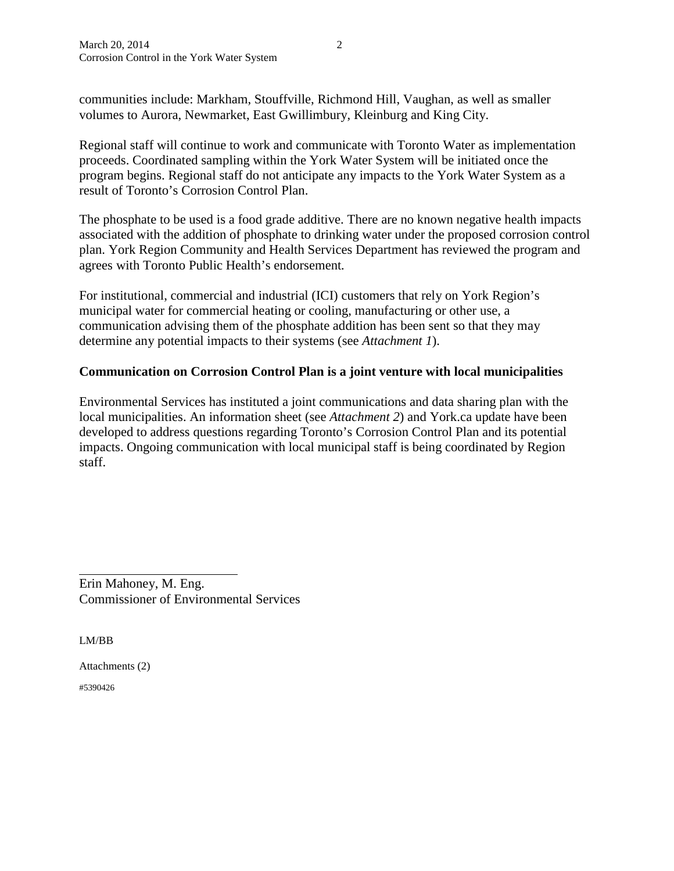communities include: Markham, Stouffville, Richmond Hill, Vaughan, as well as smaller volumes to Aurora, Newmarket, East Gwillimbury, Kleinburg and King City.

Regional staff will continue to work and communicate with Toronto Water as implementation proceeds. Coordinated sampling within the York Water System will be initiated once the program begins. Regional staff do not anticipate any impacts to the York Water System as a result of Toronto's Corrosion Control Plan.

The phosphate to be used is a food grade additive. There are no known negative health impacts associated with the addition of phosphate to drinking water under the proposed corrosion control plan. York Region Community and Health Services Department has reviewed the program and agrees with Toronto Public Health's endorsement*.*

For institutional, commercial and industrial (ICI) customers that rely on York Region's municipal water for commercial heating or cooling, manufacturing or other use, a communication advising them of the phosphate addition has been sent so that they may determine any potential impacts to their systems (see *Attachment 1*).

#### **Communication on Corrosion Control Plan is a joint venture with local municipalities**

Environmental Services has instituted a joint communications and data sharing plan with the local municipalities. An information sheet (see *Attachment 2*) and York.ca update have been developed to address questions regarding Toronto's Corrosion Control Plan and its potential impacts. Ongoing communication with local municipal staff is being coordinated by Region staff.

Erin Mahoney, M. Eng. Commissioner of Environmental Services

LM/BB

 $\overline{a}$ 

Attachments (2)

#5390426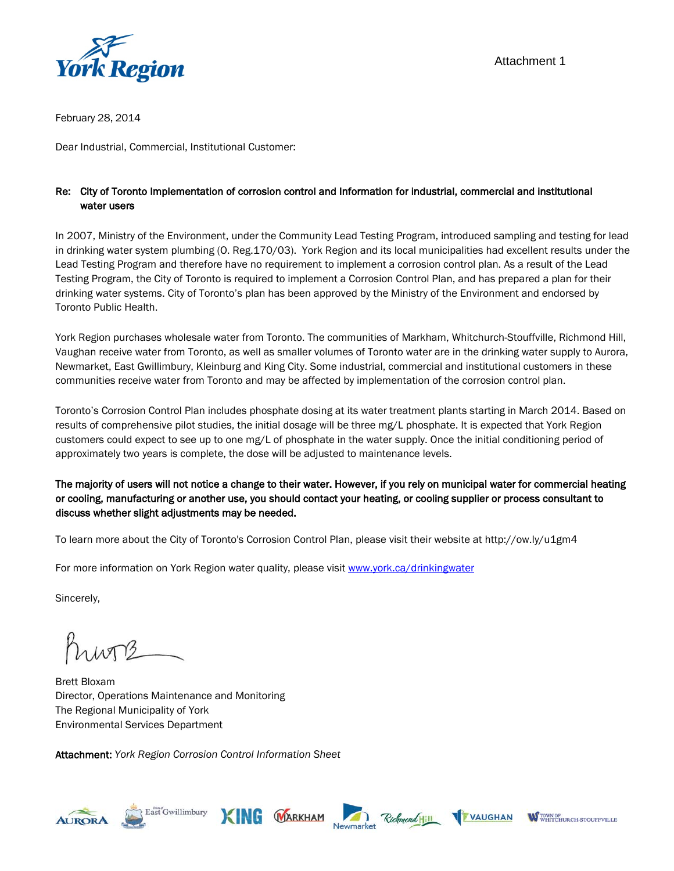

February 28, 2014

Dear Industrial, Commercial, Institutional Customer:

#### Re: City of Toronto Implementation of corrosion control and Information for industrial, commercial and institutional water users

In 2007, Ministry of the Environment, under the Community Lead Testing Program, introduced sampling and testing for lead in drinking water system plumbing (O. Reg.170/03). York Region and its local municipalities had excellent results under the Lead Testing Program and therefore have no requirement to implement a corrosion control plan. As a result of the Lead Testing Program, the City of Toronto is required to implement a Corrosion Control Plan, and has prepared a plan for their drinking water systems. City of Toronto's plan has been approved by the Ministry of the Environment and endorsed by Toronto Public Health.

York Region purchases wholesale water from Toronto. The communities of Markham, Whitchurch-Stouffville, Richmond Hill, Vaughan receive water from Toronto, as well as smaller volumes of Toronto water are in the drinking water supply to Aurora, Newmarket, East Gwillimbury, Kleinburg and King City. Some industrial, commercial and institutional customers in these communities receive water from Toronto and may be affected by implementation of the corrosion control plan.

Toronto's Corrosion Control Plan includes phosphate dosing at its water treatment plants starting in March 2014. Based on results of comprehensive pilot studies, the initial dosage will be three mg/L phosphate. It is expected that York Region customers could expect to see up to one mg/L of phosphate in the water supply. Once the initial conditioning period of approximately two years is complete, the dose will be adjusted to maintenance levels.

The majority of users will not notice a change to their water. However, if you rely on municipal water for commercial heating or cooling, manufacturing or another use, you should contact your heating, or cooling supplier or process consultant to discuss whether slight adjustments may be needed.

To learn more about the City of Toronto's Corrosion Control Plan, please visit their website at <http://ow.ly/u1gm4>

For more information on York Region water quality, please visit [www.york.ca/drinkingwater](http://www.york.ca/drinkingwater)

Sincerely,

Krivne

Brett Bloxam Director, Operations Maintenance and Monitoring The Regional Municipality of York Environmental Services Department

Attachment: *York Region Corrosion Control Information Sheet*